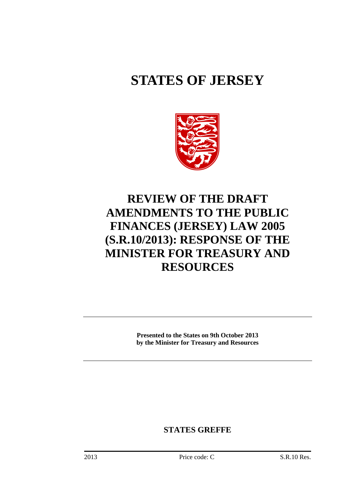# **STATES OF JERSEY**



## **REVIEW OF THE DRAFT AMENDMENTS TO THE PUBLIC FINANCES (JERSEY) LAW 2005 (S.R.10/2013): RESPONSE OF THE MINISTER FOR TREASURY AND RESOURCES**

**Presented to the States on 9th October 2013 by the Minister for Treasury and Resources**

**STATES GREFFE**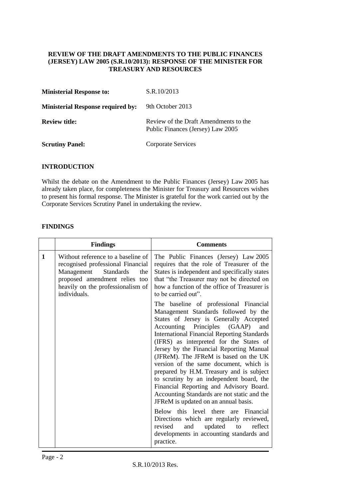#### **REVIEW OF THE DRAFT AMENDMENTS TO THE PUBLIC FINANCES (JERSEY) LAW 2005 (S.R.10/2013): RESPONSE OF THE MINISTER FOR TREASURY AND RESOURCES**

| <b>Ministerial Response to:</b>          | S.R.10/2013                                                                |
|------------------------------------------|----------------------------------------------------------------------------|
| <b>Ministerial Response required by:</b> | 9th October 2013                                                           |
| <b>Review title:</b>                     | Review of the Draft Amendments to the<br>Public Finances (Jersey) Law 2005 |
| <b>Scrutiny Panel:</b>                   | Corporate Services                                                         |

#### **INTRODUCTION**

Whilst the debate on the Amendment to the Public Finances (Jersey) Law 2005 has already taken place, for completeness the Minister for Treasury and Resources wishes to present his formal response. The Minister is grateful for the work carried out by the Corporate Services Scrutiny Panel in undertaking the review.

#### **FINDINGS**

|   | <b>Findings</b>                                                                                                                                                                                        | <b>Comments</b>                                                                                                                                                                                                                                                                                                                                                                                                                                                                                                                                                                                                                                                                                                                                                                                                      |
|---|--------------------------------------------------------------------------------------------------------------------------------------------------------------------------------------------------------|----------------------------------------------------------------------------------------------------------------------------------------------------------------------------------------------------------------------------------------------------------------------------------------------------------------------------------------------------------------------------------------------------------------------------------------------------------------------------------------------------------------------------------------------------------------------------------------------------------------------------------------------------------------------------------------------------------------------------------------------------------------------------------------------------------------------|
| 1 | Without reference to a baseline of<br>recognised professional Financial<br>Management<br><b>Standards</b><br>the<br>proposed amendment relies too<br>heavily on the professionalism of<br>individuals. | The Public Finances (Jersey) Law 2005<br>requires that the role of Treasurer of the<br>States is independent and specifically states<br>that "the Treasurer may not be directed on<br>how a function of the office of Treasurer is<br>to be carried out".                                                                                                                                                                                                                                                                                                                                                                                                                                                                                                                                                            |
|   |                                                                                                                                                                                                        | The baseline of professional Financial<br>Management Standards followed by the<br>States of Jersey is Generally Accepted<br>Accounting Principles (GAAP)<br>and<br><b>International Financial Reporting Standards</b><br>(IFRS) as interpreted for the States of<br>Jersey by the Financial Reporting Manual<br>(JFReM). The JFReM is based on the UK<br>version of the same document, which is<br>prepared by H.M. Treasury and is subject<br>to scrutiny by an independent board, the<br>Financial Reporting and Advisory Board.<br>Accounting Standards are not static and the<br>JFReM is updated on an annual basis.<br>Below this level there are Financial<br>Directions which are regularly reviewed,<br>updated<br>to<br>reflect<br>revised<br>and<br>developments in accounting standards and<br>practice. |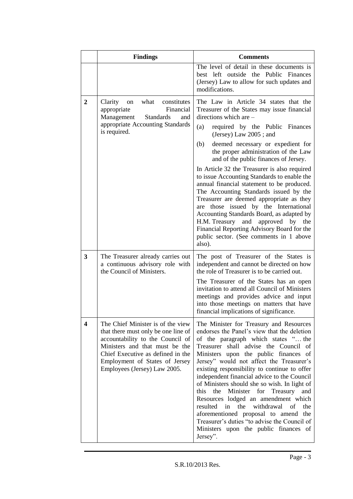|                | <b>Findings</b>                                                                                                                                                                                                                                       | <b>Comments</b>                                                                                                                                                                                                                                                                                                                                                                                                                                                                                                                                                                                                                                                                                                                                                                           |
|----------------|-------------------------------------------------------------------------------------------------------------------------------------------------------------------------------------------------------------------------------------------------------|-------------------------------------------------------------------------------------------------------------------------------------------------------------------------------------------------------------------------------------------------------------------------------------------------------------------------------------------------------------------------------------------------------------------------------------------------------------------------------------------------------------------------------------------------------------------------------------------------------------------------------------------------------------------------------------------------------------------------------------------------------------------------------------------|
|                |                                                                                                                                                                                                                                                       | The level of detail in these documents is<br>best left outside the Public Finances<br>(Jersey) Law to allow for such updates and<br>modifications.                                                                                                                                                                                                                                                                                                                                                                                                                                                                                                                                                                                                                                        |
| $\overline{2}$ | Clarity<br>what<br>constitutes<br>on<br>Financial<br>appropriate<br>Management<br><b>Standards</b><br>and<br>appropriate Accounting Standards<br>is required.                                                                                         | The Law in Article 34 states that the<br>Treasurer of the States may issue financial<br>directions which are -<br>(a)<br>required by the Public Finances<br>(Jersey) Law 2005; and<br>(b)<br>deemed necessary or expedient for<br>the proper administration of the Law<br>and of the public finances of Jersey.<br>In Article 32 the Treasurer is also required<br>to issue Accounting Standards to enable the<br>annual financial statement to be produced.<br>The Accounting Standards issued by the<br>Treasurer are deemed appropriate as they<br>those issued by the International<br>are<br>Accounting Standards Board, as adapted by<br>H.M. Treasury<br>and<br>approved by the<br>Financial Reporting Advisory Board for the<br>public sector. (See comments in 1 above<br>also). |
| 3              | The Treasurer already carries out<br>a continuous advisory role with<br>the Council of Ministers.                                                                                                                                                     | The post of Treasurer of the States is<br>independent and cannot be directed on how<br>the role of Treasurer is to be carried out.<br>The Treasurer of the States has an open<br>invitation to attend all Council of Ministers<br>meetings and provides advice and input<br>into those meetings on matters that have<br>financial implications of significance.                                                                                                                                                                                                                                                                                                                                                                                                                           |
| 4              | The Chief Minister is of the view<br>that there must only be one line of<br>accountability to the Council of<br>Ministers and that must be the<br>Chief Executive as defined in the<br>Employment of States of Jersey<br>Employees (Jersey) Law 2005. | The Minister for Treasury and Resources<br>endorses the Panel's view that the deletion<br>of the paragraph which states " the<br>Treasurer shall advise the Council of<br>Ministers upon the public finances of<br>Jersey" would not affect the Treasurer's<br>existing responsibility to continue to offer<br>independent financial advice to the Council<br>of Ministers should she so wish. In light of<br>Minister for<br>Treasury<br>and<br>this<br>the<br>Resources lodged an amendment which<br>the<br>withdrawal<br>resulted<br>in<br>of<br>the<br>aforementioned proposal to amend the<br>Treasurer's duties "to advise the Council of<br>Ministers upon the public finances of<br>Jersey".                                                                                      |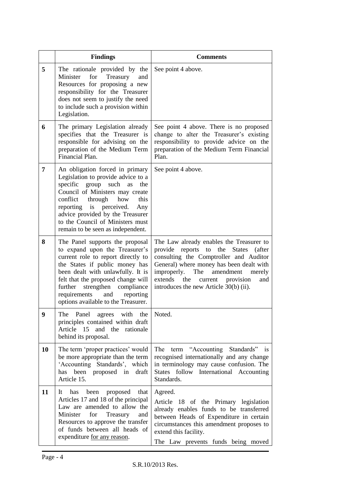|    | <b>Findings</b>                                                                                                                                                                                                                                                                                                                         | <b>Comments</b>                                                                                                                                                                                                                                                                                                          |
|----|-----------------------------------------------------------------------------------------------------------------------------------------------------------------------------------------------------------------------------------------------------------------------------------------------------------------------------------------|--------------------------------------------------------------------------------------------------------------------------------------------------------------------------------------------------------------------------------------------------------------------------------------------------------------------------|
| 5  | The rationale provided by the<br>for<br>Treasury<br>Minister<br>and<br>Resources for proposing a new<br>responsibility for the Treasurer<br>does not seem to justify the need<br>to include such a provision within<br>Legislation.                                                                                                     | See point 4 above.                                                                                                                                                                                                                                                                                                       |
| 6  | The primary Legislation already<br>specifies that the Treasurer is<br>responsible for advising on the<br>preparation of the Medium Term<br>Financial Plan.                                                                                                                                                                              | See point 4 above. There is no proposed<br>change to alter the Treasurer's existing<br>responsibility to provide advice on the<br>preparation of the Medium Term Financial<br>Plan.                                                                                                                                      |
| 7  | An obligation forced in primary<br>Legislation to provide advice to a<br>specific<br>group<br>such<br>the<br>as<br>Council of Ministers may create<br>conflict<br>through<br>this<br>how<br>reporting is perceived.<br>Any<br>advice provided by the Treasurer<br>to the Council of Ministers must<br>remain to be seen as independent. | See point 4 above.                                                                                                                                                                                                                                                                                                       |
| 8  | The Panel supports the proposal<br>to expand upon the Treasurer's<br>current role to report directly to<br>the States if public money has<br>been dealt with unlawfully. It is<br>felt that the proposed change will<br>further<br>strengthen<br>compliance<br>requirements<br>reporting<br>and<br>options available to the Treasurer.  | The Law already enables the Treasurer to<br>provide reports to<br>the<br><b>States</b><br>(after<br>consulting the Comptroller and Auditor<br>General) where money has been dealt with<br>The<br>improperly.<br>amendment<br>merely<br>extends the<br>current provision<br>and<br>introduces the new Article 30(b) (ii). |
| 9  | The Panel agrees with the<br>principles contained within draft<br>Article 15<br>and the<br>rationale<br>behind its proposal.                                                                                                                                                                                                            | Noted.                                                                                                                                                                                                                                                                                                                   |
| 10 | The term 'proper practices' would<br>be more appropriate than the term<br>'Accounting Standards', which<br>been proposed in<br>has<br>draft<br>Article 15.                                                                                                                                                                              | The term "Accounting Standards" is<br>recognised internationally and any change<br>in terminology may cause confusion. The<br>States follow International Accounting<br>Standards.                                                                                                                                       |
| 11 | has been<br>proposed<br>that<br>It<br>Articles 17 and 18 of the principal<br>Law are amended to allow the<br>for<br>Minister<br>Treasury<br>and<br>Resources to approve the transfer<br>of funds between all heads of<br>expenditure <u>for any reason</u> .                                                                            | Agreed.<br>Article 18 of the Primary legislation<br>already enables funds to be transferred<br>between Heads of Expenditure in certain<br>circumstances this amendment proposes to<br>extend this facility.<br>The Law prevents funds being moved                                                                        |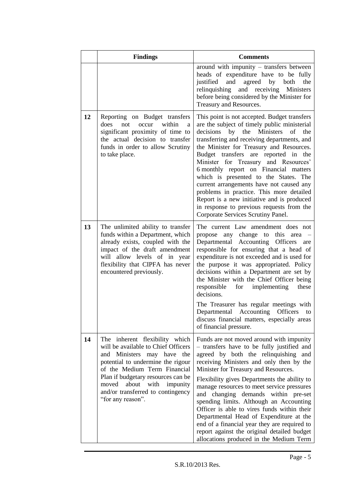|    | <b>Findings</b>                                                                                                                                                                                                                                                                                             | <b>Comments</b>                                                                                                                                                                                                                                                                                                                                                                                                                                                                                                                                                                                                                        |
|----|-------------------------------------------------------------------------------------------------------------------------------------------------------------------------------------------------------------------------------------------------------------------------------------------------------------|----------------------------------------------------------------------------------------------------------------------------------------------------------------------------------------------------------------------------------------------------------------------------------------------------------------------------------------------------------------------------------------------------------------------------------------------------------------------------------------------------------------------------------------------------------------------------------------------------------------------------------------|
|    |                                                                                                                                                                                                                                                                                                             | around with impunity - transfers between<br>heads of expenditure have to be fully<br>and<br>agreed<br>by<br>justified<br>both<br>the<br>and receiving<br>relinquishing<br>Ministers<br>before being considered by the Minister for<br>Treasury and Resources.                                                                                                                                                                                                                                                                                                                                                                          |
| 12 | Reporting on Budget transfers<br>does<br>not<br>occur<br>within<br>a<br>significant proximity of time to<br>the actual decision to transfer<br>funds in order to allow Scrutiny<br>to take place.                                                                                                           | This point is not accepted. Budget transfers<br>are the subject of timely public ministerial<br>the Ministers<br>decisions<br>by<br>of<br>the<br>transferring and receiving departments, and<br>the Minister for Treasury and Resources.<br>Budget transfers are reported in the<br>Minister for Treasury and Resources'<br>6 monthly report on Financial matters<br>which is presented to the States. The<br>current arrangements have not caused any<br>problems in practice. This more detailed<br>Report is a new initiative and is produced<br>in response to previous requests from the<br>Corporate Services Scrutiny Panel.    |
| 13 | The unlimited ability to transfer<br>funds within a Department, which<br>already exists, coupled with the<br>impact of the draft amendment<br>will allow levels of in year<br>flexibility that CIPFA has never<br>encountered previously.                                                                   | The current Law amendment does not<br>change to this<br>propose<br>any<br>area<br>Departmental Accounting Officers<br>are<br>responsible for ensuring that a head of<br>expenditure is not exceeded and is used for<br>the purpose it was appropriated. Policy<br>decisions within a Department are set by<br>the Minister with the Chief Officer being<br>implementing<br>responsible<br>for<br>these<br>decisions.<br>The Treasurer has regular meetings with<br>Departmental Accounting<br><b>Officers</b><br>to<br>discuss financial matters, especially areas<br>of financial pressure.                                           |
| 14 | The inherent flexibility which<br>will be available to Chief Officers<br>and Ministers may have the<br>potential to undermine the rigour<br>of the Medium Term Financial<br>Plan if budgetary resources can be<br>about with<br>moved<br>impunity<br>and/or transferred to contingency<br>"for any reason". | Funds are not moved around with impunity<br>- transfers have to be fully justified and<br>agreed by both the relinquishing and<br>receiving Ministers and only then by the<br>Minister for Treasury and Resources.<br>Flexibility gives Departments the ability to<br>manage resources to meet service pressures<br>and changing demands within pre-set<br>spending limits. Although an Accounting<br>Officer is able to vires funds within their<br>Departmental Head of Expenditure at the<br>end of a financial year they are required to<br>report against the original detailed budget<br>allocations produced in the Medium Term |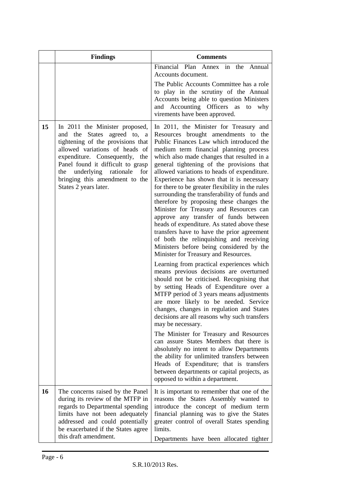|    | <b>Findings</b>                                                                                                                                                                                                                                                                                                    | <b>Comments</b>                                                                                                                                                                                                                                                                                                                                                                                                                                                                                                                                                                                                                                                                                                                                                                                                                                                                                                                                                                                                                                                                                                                                                                                                                                                                                                                                                                                                                                                                                                                  |
|----|--------------------------------------------------------------------------------------------------------------------------------------------------------------------------------------------------------------------------------------------------------------------------------------------------------------------|----------------------------------------------------------------------------------------------------------------------------------------------------------------------------------------------------------------------------------------------------------------------------------------------------------------------------------------------------------------------------------------------------------------------------------------------------------------------------------------------------------------------------------------------------------------------------------------------------------------------------------------------------------------------------------------------------------------------------------------------------------------------------------------------------------------------------------------------------------------------------------------------------------------------------------------------------------------------------------------------------------------------------------------------------------------------------------------------------------------------------------------------------------------------------------------------------------------------------------------------------------------------------------------------------------------------------------------------------------------------------------------------------------------------------------------------------------------------------------------------------------------------------------|
|    |                                                                                                                                                                                                                                                                                                                    | Financial Plan Annex in the Annual<br>Accounts document.<br>The Public Accounts Committee has a role<br>to play in the scrutiny of the Annual<br>Accounts being able to question Ministers<br>and Accounting Officers as to<br>why<br>virements have been approved.                                                                                                                                                                                                                                                                                                                                                                                                                                                                                                                                                                                                                                                                                                                                                                                                                                                                                                                                                                                                                                                                                                                                                                                                                                                              |
| 15 | In 2011 the Minister proposed,<br>and the States agreed to, a<br>tightening of the provisions that<br>allowed variations of heads of<br>expenditure. Consequently,<br>the<br>Panel found it difficult to grasp<br>underlying<br>rationale<br>the<br>for<br>bringing this amendment to the<br>States 2 years later. | In 2011, the Minister for Treasury and<br>Resources brought amendments to the<br>Public Finances Law which introduced the<br>medium term financial planning process<br>which also made changes that resulted in a<br>general tightening of the provisions that<br>allowed variations to heads of expenditure.<br>Experience has shown that it is necessary<br>for there to be greater flexibility in the rules<br>surrounding the transferability of funds and<br>therefore by proposing these changes the<br>Minister for Treasury and Resources can<br>approve any transfer of funds between<br>heads of expenditure. As stated above these<br>transfers have to have the prior agreement<br>of both the relinquishing and receiving<br>Ministers before being considered by the<br>Minister for Treasury and Resources.<br>Learning from practical experiences which<br>means previous decisions are overturned<br>should not be criticised. Recognising that<br>by setting Heads of Expenditure over a<br>MTFP period of 3 years means adjustments<br>are more likely to be needed. Service<br>changes, changes in regulation and States<br>decisions are all reasons why such transfers<br>may be necessary.<br>The Minister for Treasury and Resources<br>can assure States Members that there is<br>absolutely no intent to allow Departments<br>the ability for unlimited transfers between<br>Heads of Expenditure; that is transfers<br>between departments or capital projects, as<br>opposed to within a department. |
| 16 | The concerns raised by the Panel<br>during its review of the MTFP in<br>regards to Departmental spending<br>limits have not been adequately<br>addressed and could potentially<br>be exacerbated if the States agree<br>this draft amendment.                                                                      | It is important to remember that one of the<br>reasons the States Assembly wanted to<br>introduce the concept of medium term<br>financial planning was to give the States<br>greater control of overall States spending<br>limits.<br>Departments have been allocated tighter                                                                                                                                                                                                                                                                                                                                                                                                                                                                                                                                                                                                                                                                                                                                                                                                                                                                                                                                                                                                                                                                                                                                                                                                                                                    |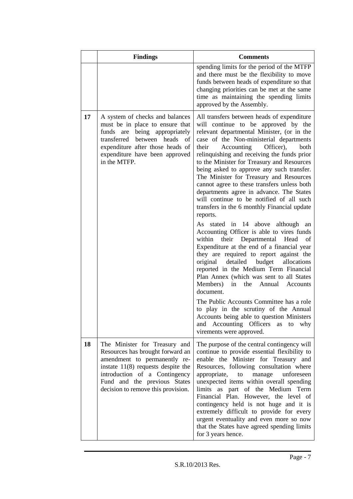|    | <b>Findings</b>                                                                                                                                                                                                                                  | <b>Comments</b>                                                                                                                                                                                                                                                                                                                                                                                                                                                                                                                                                                                                                                                                                                                                                                                                                                                                                                                                                                                                                                                                                                                                                                                                                                         |
|----|--------------------------------------------------------------------------------------------------------------------------------------------------------------------------------------------------------------------------------------------------|---------------------------------------------------------------------------------------------------------------------------------------------------------------------------------------------------------------------------------------------------------------------------------------------------------------------------------------------------------------------------------------------------------------------------------------------------------------------------------------------------------------------------------------------------------------------------------------------------------------------------------------------------------------------------------------------------------------------------------------------------------------------------------------------------------------------------------------------------------------------------------------------------------------------------------------------------------------------------------------------------------------------------------------------------------------------------------------------------------------------------------------------------------------------------------------------------------------------------------------------------------|
|    |                                                                                                                                                                                                                                                  | spending limits for the period of the MTFP<br>and there must be the flexibility to move<br>funds between heads of expenditure so that<br>changing priorities can be met at the same<br>time as maintaining the spending limits<br>approved by the Assembly.                                                                                                                                                                                                                                                                                                                                                                                                                                                                                                                                                                                                                                                                                                                                                                                                                                                                                                                                                                                             |
| 17 | A system of checks and balances<br>must be in place to ensure that<br>being appropriately<br>funds are<br>between heads of<br>transferred<br>expenditure after those heads of<br>expenditure have been approved<br>in the MTFP.                  | All transfers between heads of expenditure<br>will continue to be approved by the<br>relevant departmental Minister, (or in the<br>case of the Non-ministerial departments<br>Accounting<br>Officer),<br>both<br>their<br>relinquishing and receiving the funds prior<br>to the Minister for Treasury and Resources<br>being asked to approve any such transfer.<br>The Minister for Treasury and Resources<br>cannot agree to these transfers unless both<br>departments agree in advance. The States<br>will continue to be notified of all such<br>transfers in the 6 monthly Financial update<br>reports.<br>As stated in 14 above although<br>an<br>Accounting Officer is able to vires funds<br>their Departmental<br>within<br>Head<br>of<br>Expenditure at the end of a financial year<br>they are required to report against the<br>detailed<br>budget<br>original<br>allocations<br>reported in the Medium Term Financial<br>Plan Annex (which was sent to all States<br>Members)<br>in<br>the<br>Annual<br>Accounts<br>document.<br>The Public Accounts Committee has a role<br>to play in the scrutiny of the Annual<br>Accounts being able to question Ministers<br>and Accounting Officers<br>why<br>as<br>to<br>virements were approved. |
| 18 | The Minister for Treasury and<br>Resources has brought forward an<br>amendment to permanently re-<br>instate $11(8)$ requests despite the<br>introduction of a Contingency<br>Fund and the previous States<br>decision to remove this provision. | The purpose of the central contingency will<br>continue to provide essential flexibility to<br>enable the Minister for Treasury and<br>Resources, following consultation where<br>appropriate,<br>unforeseen<br>to<br>manage<br>unexpected items within overall spending<br>limits as part of the Medium Term<br>Financial Plan. However, the level of<br>contingency held is not huge and it is<br>extremely difficult to provide for every<br>urgent eventuality and even more so now<br>that the States have agreed spending limits<br>for 3 years hence.                                                                                                                                                                                                                                                                                                                                                                                                                                                                                                                                                                                                                                                                                            |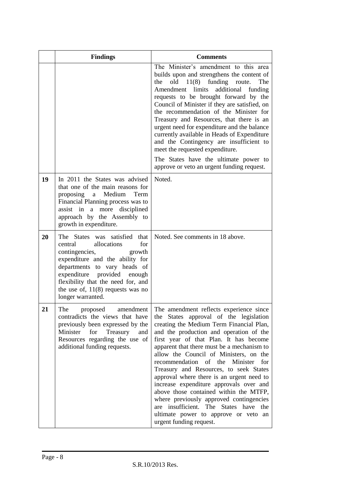|    | <b>Findings</b>                                                                                                                                                                                                                                                                                      | <b>Comments</b>                                                                                                                                                                                                                                                                                                                                                                                                                                                                                                                                                                                                                                                                        |
|----|------------------------------------------------------------------------------------------------------------------------------------------------------------------------------------------------------------------------------------------------------------------------------------------------------|----------------------------------------------------------------------------------------------------------------------------------------------------------------------------------------------------------------------------------------------------------------------------------------------------------------------------------------------------------------------------------------------------------------------------------------------------------------------------------------------------------------------------------------------------------------------------------------------------------------------------------------------------------------------------------------|
|    |                                                                                                                                                                                                                                                                                                      | The Minister's amendment to this area<br>builds upon and strengthens the content of<br>11(8)<br>funding<br>the<br>old<br>route.<br>The<br>limits<br>additional<br>Amendment<br>funding<br>requests to be brought forward by the<br>Council of Minister if they are satisfied, on<br>the recommendation of the Minister for<br>Treasury and Resources, that there is an<br>urgent need for expenditure and the balance<br>currently available in Heads of Expenditure<br>and the Contingency are insufficient to<br>meet the requested expenditure.<br>The States have the ultimate power to<br>approve or veto an urgent funding request.                                              |
| 19 | In 2011 the States was advised<br>that one of the main reasons for<br>proposing a Medium<br>Term<br>Financial Planning process was to<br>assist in<br>more<br>a<br>disciplined<br>approach by the Assembly to<br>growth in expenditure.                                                              | Noted.                                                                                                                                                                                                                                                                                                                                                                                                                                                                                                                                                                                                                                                                                 |
| 20 | The States was satisfied that<br>for<br>allocations<br>central<br>contingencies,<br>growth<br>expenditure and the ability for<br>departments to vary heads of<br>expenditure<br>provided<br>enough<br>flexibility that the need for, and<br>the use of, $11(8)$ requests was no<br>longer warranted. | Noted. See comments in 18 above.                                                                                                                                                                                                                                                                                                                                                                                                                                                                                                                                                                                                                                                       |
| 21 | The<br>amendment<br>proposed<br>contradicts the views that have<br>previously been expressed by the<br>Minister<br>for<br>Treasury<br>and<br>Resources regarding the use of<br>additional funding requests.                                                                                          | The amendment reflects experience since<br>the States approval of the legislation<br>creating the Medium Term Financial Plan,<br>and the production and operation of the<br>first year of that Plan. It has become<br>apparent that there must be a mechanism to<br>allow the Council of Ministers, on the<br>recommendation of the Minister<br>for<br>Treasury and Resources, to seek States<br>approval where there is an urgent need to<br>increase expenditure approvals over and<br>above those contained within the MTFP,<br>where previously approved contingencies<br>are insufficient. The States have the<br>ultimate power to approve or veto an<br>urgent funding request. |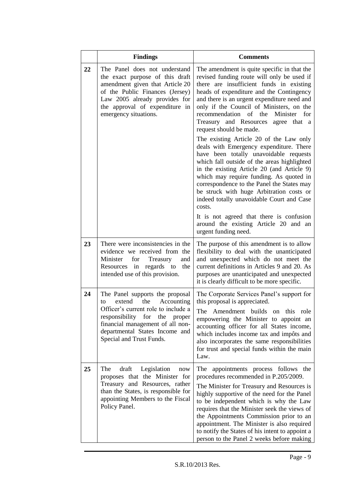|    | <b>Findings</b>                                                                                                                                                                                                                                   | <b>Comments</b>                                                                                                                                                                                                                                                                                                                                                                                                                                                   |
|----|---------------------------------------------------------------------------------------------------------------------------------------------------------------------------------------------------------------------------------------------------|-------------------------------------------------------------------------------------------------------------------------------------------------------------------------------------------------------------------------------------------------------------------------------------------------------------------------------------------------------------------------------------------------------------------------------------------------------------------|
| 22 | The Panel does not understand<br>the exact purpose of this draft<br>amendment given that Article 20<br>of the Public Finances (Jersey)<br>Law 2005 already provides for<br>the approval of expenditure in<br>emergency situations.                | The amendment is quite specific in that the<br>revised funding route will only be used if<br>there are insufficient funds in existing<br>heads of expenditure and the Contingency<br>and there is an urgent expenditure need and<br>only if the Council of Ministers, on the<br>recommendation<br>of the<br>Minister<br>for<br>Treasury and Resources<br>agree that a<br>request should be made.                                                                  |
|    |                                                                                                                                                                                                                                                   | The existing Article 20 of the Law only<br>deals with Emergency expenditure. There<br>have been totally unavoidable requests<br>which fall outside of the areas highlighted<br>in the existing Article 20 (and Article 9)<br>which may require funding. As quoted in<br>correspondence to the Panel the States may<br>be struck with huge Arbitration costs or<br>indeed totally unavoidable Court and Case<br>costs.<br>It is not agreed that there is confusion |
|    |                                                                                                                                                                                                                                                   | around the existing Article 20 and an<br>urgent funding need.                                                                                                                                                                                                                                                                                                                                                                                                     |
| 23 | There were inconsistencies in the<br>evidence we received from the<br>Minister<br>for<br>Treasury<br>and<br>in regards to<br>the<br>Resources<br>intended use of this provision.                                                                  | The purpose of this amendment is to allow<br>flexibility to deal with the unanticipated<br>and unexpected which do not meet the<br>current definitions in Articles 9 and 20. As<br>purposes are unanticipated and unexpected<br>it is clearly difficult to be more specific.                                                                                                                                                                                      |
| 24 | The Panel supports the proposal<br>the<br>Accounting<br>extend<br>to<br>Officer's current role to include a<br>responsibility for the<br>proper<br>financial management of all non-<br>departmental States Income and<br>Special and Trust Funds. | The Corporate Services Panel's support for<br>this proposal is appreciated.<br>The Amendment builds on this role<br>empowering the Minister to appoint an<br>accounting officer for all States income,<br>which includes income tax and impôts and<br>also incorporates the same responsibilities<br>for trust and special funds within the main<br>Law.                                                                                                          |
| 25 | The<br>draft<br>Legislation<br>now<br>proposes that the Minister for<br>Treasury and Resources, rather<br>than the States, is responsible for<br>appointing Members to the Fiscal<br>Policy Panel.                                                | The appointments process follows the<br>procedures recommended in P.205/2009.<br>The Minister for Treasury and Resources is<br>highly supportive of the need for the Panel<br>to be independent which is why the Law<br>requires that the Minister seek the views of<br>the Appointments Commission prior to an<br>appointment. The Minister is also required<br>to notify the States of his intent to appoint a<br>person to the Panel 2 weeks before making     |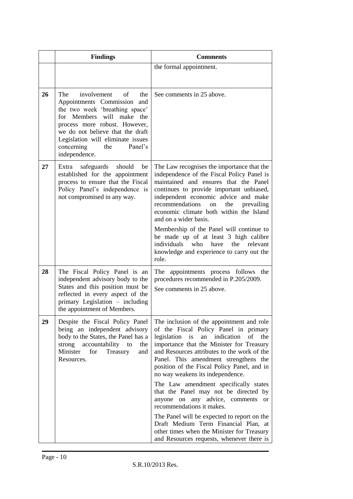|    | <b>Findings</b>                                                                                                                                                                                                                                                                             | <b>Comments</b>                                                                                                                                                                                                                                                                                                                                                                                                                                                                                                               |
|----|---------------------------------------------------------------------------------------------------------------------------------------------------------------------------------------------------------------------------------------------------------------------------------------------|-------------------------------------------------------------------------------------------------------------------------------------------------------------------------------------------------------------------------------------------------------------------------------------------------------------------------------------------------------------------------------------------------------------------------------------------------------------------------------------------------------------------------------|
|    |                                                                                                                                                                                                                                                                                             | the formal appointment.                                                                                                                                                                                                                                                                                                                                                                                                                                                                                                       |
| 26 | The<br>involvement of the<br>Appointments Commission<br>and<br>the two week 'breathing space'<br>will make the<br>Members<br>for<br>process more robust. However,<br>we do not believe that the draft<br>Legislation will eliminate issues<br>concerning<br>the<br>Panel's<br>independence. | See comments in 25 above.                                                                                                                                                                                                                                                                                                                                                                                                                                                                                                     |
| 27 | safeguards<br>Extra<br>should<br>be<br>established for the appointment<br>process to ensure that the Fiscal<br>Policy Panel's independence is<br>not compromised in any way.                                                                                                                | The Law recognises the importance that the<br>independence of the Fiscal Policy Panel is<br>maintained and ensures that the Panel<br>continues to provide important unbiased,<br>independent economic advice and make<br>recommendations<br>on<br>the<br>prevailing<br>economic climate both within the Island<br>and on a wider basis.<br>Membership of the Panel will continue to<br>be made up of at least 3 high calibre<br>individuals who have<br>the<br>relevant<br>knowledge and experience to carry out the<br>role. |
| 28 | The Fiscal Policy Panel is an<br>independent advisory body to the<br>States and this position must be<br>reflected in every aspect of the<br>primary Legislation – including<br>the appointment of Members.                                                                                 | The appointments process follows the<br>procedures recommended in P.205/2009.<br>See comments in 25 above.                                                                                                                                                                                                                                                                                                                                                                                                                    |
| 29 | Despite the Fiscal Policy Panel<br>being an independent advisory<br>body to the States, the Panel has a<br>strong<br>accountability<br>to<br>the<br>Minister<br>for<br>Treasury<br>and<br>Resources.                                                                                        | The inclusion of the appointment and role<br>of the Fiscal Policy Panel in primary<br>legislation<br>i <sub>s</sub><br>indication<br>of<br>the<br>an<br>importance that the Minister for Treasury<br>and Resources attributes to the work of the<br>Panel. This amendment strengthens the<br>position of the Fiscal Policy Panel, and in<br>no way weakens its independence.<br>The Law amendment specifically states<br>that the Panel may not be directed by<br>anyone on any advice, comments<br><sub>or</sub>             |
|    |                                                                                                                                                                                                                                                                                             | recommendations it makes.<br>The Panel will be expected to report on the<br>Draft Medium Term Financial Plan, at<br>other times when the Minister for Treasury<br>and Resources requests, whenever there is                                                                                                                                                                                                                                                                                                                   |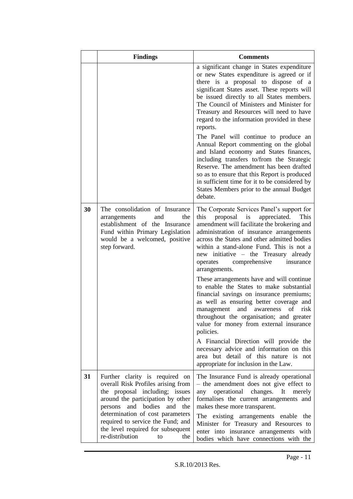|    | <b>Findings</b>                                                                                                                                                                                                                                                                                                            | <b>Comments</b>                                                                                                                                                                                                                                                                                                                                                                                                                                                                                                                                                                                                                                                                                                                                                                                                                                                                                 |
|----|----------------------------------------------------------------------------------------------------------------------------------------------------------------------------------------------------------------------------------------------------------------------------------------------------------------------------|-------------------------------------------------------------------------------------------------------------------------------------------------------------------------------------------------------------------------------------------------------------------------------------------------------------------------------------------------------------------------------------------------------------------------------------------------------------------------------------------------------------------------------------------------------------------------------------------------------------------------------------------------------------------------------------------------------------------------------------------------------------------------------------------------------------------------------------------------------------------------------------------------|
|    |                                                                                                                                                                                                                                                                                                                            | a significant change in States expenditure<br>or new States expenditure is agreed or if<br>there is a proposal to dispose of a<br>significant States asset. These reports will<br>be issued directly to all States members.<br>The Council of Ministers and Minister for<br>Treasury and Resources will need to have<br>regard to the information provided in these<br>reports.<br>The Panel will continue to produce an<br>Annual Report commenting on the global<br>and Island economy and States finances,<br>including transfers to/from the Strategic<br>Reserve. The amendment has been drafted<br>so as to ensure that this Report is produced<br>in sufficient time for it to be considered by<br>States Members prior to the annual Budget<br>debate.                                                                                                                                  |
| 30 | The consolidation of Insurance<br>and<br>the<br>arrangements<br>establishment of the Insurance<br>Fund within Primary Legislation<br>would be a welcomed, positive<br>step forward.                                                                                                                                        | The Corporate Services Panel's support for<br>this<br>proposal<br>is<br>appreciated.<br>This<br>amendment will facilitate the brokering and<br>administration of insurance arrangements<br>across the States and other admitted bodies<br>within a stand-alone Fund. This is not a<br>new initiative – the Treasury already<br>comprehensive<br>operates<br>insurance<br>arrangements.<br>These arrangements have and will continue<br>to enable the States to make substantial<br>financial savings on insurance premiums;<br>as well as ensuring better coverage and<br>risk<br>management<br>and awareness<br>of<br>throughout the organisation; and greater<br>value for money from external insurance<br>policies.<br>A Financial Direction will provide the<br>necessary advice and information on this<br>area but detail of this nature is not<br>appropriate for inclusion in the Law. |
| 31 | Further clarity is required on<br>overall Risk Profiles arising from<br>the proposal including; issues<br>around the participation by other<br>persons and bodies<br>and the<br>determination of cost parameters<br>required to service the Fund; and<br>the level required for subsequent<br>re-distribution<br>the<br>to | The Insurance Fund is already operational<br>- the amendment does not give effect to<br>changes. It<br>operational<br>any<br>merely<br>formalises the current arrangements and<br>makes these more transparent.<br>The existing arrangements enable the<br>Minister for Treasury and Resources to<br>enter into insurance arrangements with<br>bodies which have connections with the                                                                                                                                                                                                                                                                                                                                                                                                                                                                                                           |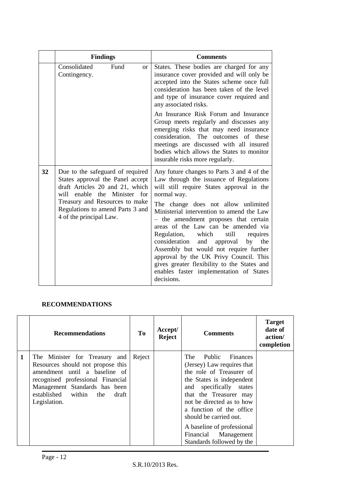|    | <b>Findings</b>                                                                                                                                                                                                                          | <b>Comments</b>                                                                                                                                                                                                                                                                                                                                                                                                                                                                                                                                                                                              |
|----|------------------------------------------------------------------------------------------------------------------------------------------------------------------------------------------------------------------------------------------|--------------------------------------------------------------------------------------------------------------------------------------------------------------------------------------------------------------------------------------------------------------------------------------------------------------------------------------------------------------------------------------------------------------------------------------------------------------------------------------------------------------------------------------------------------------------------------------------------------------|
|    | Consolidated<br>Fund<br><sub>or</sub><br>Contingency.                                                                                                                                                                                    | States. These bodies are charged for any<br>insurance cover provided and will only be<br>accepted into the States scheme once full<br>consideration has been taken of the level<br>and type of insurance cover required and<br>any associated risks.                                                                                                                                                                                                                                                                                                                                                         |
|    |                                                                                                                                                                                                                                          | An Insurance Risk Forum and Insurance<br>Group meets regularly and discusses any<br>emerging risks that may need insurance<br>consideration. The outcomes of these<br>meetings are discussed with all insured<br>bodies which allows the States to monitor<br>insurable risks more regularly.                                                                                                                                                                                                                                                                                                                |
| 32 | Due to the safeguard of required<br>States approval the Panel accept<br>draft Articles 20 and 21, which<br>will enable the Minister for<br>Treasury and Resources to make<br>Regulations to amend Parts 3 and<br>4 of the principal Law. | Any future changes to Parts 3 and 4 of the<br>Law through the issuance of Regulations<br>will still require States approval in the<br>normal way.<br>The change does not allow unlimited<br>Ministerial intervention to amend the Law<br>- the amendment proposes that certain<br>areas of the Law can be amended via<br>Regulation,<br>which<br>still<br>requires<br>consideration<br>and approval<br>by<br>the<br>Assembly but would not require further<br>approval by the UK Privy Council. This<br>gives greater flexibility to the States and<br>enables faster implementation of States<br>decisions. |

### **RECOMMENDATIONS**

|   | <b>Recommendations</b>                                                                                                                                                                                                       | Tо     | Accept/<br><b>Reject</b> | <b>Comments</b>                                                                                                                                                                                                                                                                                                                          | <b>Target</b><br>date of<br>action/<br>completion |
|---|------------------------------------------------------------------------------------------------------------------------------------------------------------------------------------------------------------------------------|--------|--------------------------|------------------------------------------------------------------------------------------------------------------------------------------------------------------------------------------------------------------------------------------------------------------------------------------------------------------------------------------|---------------------------------------------------|
| 1 | The Minister for Treasury and<br>Resources should not propose this<br>amendment until a baseline of<br>recognised professional Financial<br>Management Standards has been<br>established within the<br>draft<br>Legislation. | Reject |                          | The<br>Public Finances<br>(Jersey) Law requires that<br>the role of Treasurer of<br>the States is independent<br>and specifically states<br>that the Treasurer may<br>not be directed as to how<br>a function of the office<br>should be carried out.<br>A baseline of professional<br>Financial Management<br>Standards followed by the |                                                   |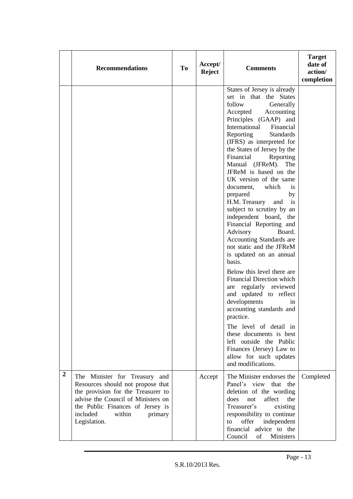|                  | <b>Recommendations</b>                                                                                                                                                                                                              | To | Accept/<br><b>Reject</b> | <b>Comments</b>                                                                                                                                                                                                                                                                                                                                                                                                                                                                                                                                                                                                                                                                                                                                                                                                                                                                                                                                                                                  | <b>Target</b><br>date of<br>action/<br>completion |
|------------------|-------------------------------------------------------------------------------------------------------------------------------------------------------------------------------------------------------------------------------------|----|--------------------------|--------------------------------------------------------------------------------------------------------------------------------------------------------------------------------------------------------------------------------------------------------------------------------------------------------------------------------------------------------------------------------------------------------------------------------------------------------------------------------------------------------------------------------------------------------------------------------------------------------------------------------------------------------------------------------------------------------------------------------------------------------------------------------------------------------------------------------------------------------------------------------------------------------------------------------------------------------------------------------------------------|---------------------------------------------------|
|                  |                                                                                                                                                                                                                                     |    |                          | States of Jersey is already<br>set in that the States<br>follow<br>Generally<br>Accepted<br>Accounting<br>Principles (GAAP) and<br>International<br>Financial<br>Reporting<br><b>Standards</b><br>(IFRS) as interpreted for<br>the States of Jersey by the<br>Financial<br>Reporting<br>Manual (JFReM). The<br>JFReM is based on the<br>UK version of the same<br>document,<br>which<br><i>is</i><br>prepared<br>by<br>H.M. Treasury<br>and<br>is<br>subject to scrutiny by an<br>independent board, the<br>Financial Reporting and<br>Advisory<br>Board.<br>Accounting Standards are<br>not static and the JFReM<br>is updated on an annual<br>basis.<br>Below this level there are<br>Financial Direction which<br>are regularly reviewed<br>and updated to reflect<br>developments<br>in<br>accounting standards and<br>practice.<br>The level of detail in<br>these documents is best<br>left outside the Public<br>Finances (Jersey) Law to<br>allow for such updates<br>and modifications. |                                                   |
| $\boldsymbol{2}$ | The Minister for Treasury and<br>Resources should not propose that<br>the provision for the Treasurer to<br>advise the Council of Ministers on<br>the Public Finances of Jersey is<br>included<br>within<br>primary<br>Legislation. |    | Accept                   | The Minister endorses the<br>Panel's view that the<br>deletion of the wording<br>affect<br>the<br>does<br>not<br>Treasurer's<br>existing<br>responsibility to continue<br>offer<br>independent<br>to<br>financial<br>advice to the<br>Council<br>Ministers<br>of                                                                                                                                                                                                                                                                                                                                                                                                                                                                                                                                                                                                                                                                                                                                 | Completed                                         |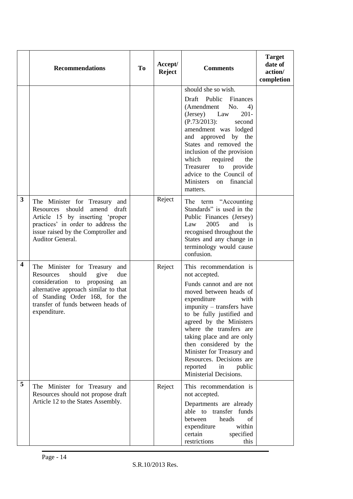|                         | <b>Recommendations</b>                                                                                                                                                                                                                     | <b>To</b> | Accept/<br><b>Reject</b> | <b>Comments</b>                                                                                                                                                                                                                                                                                                                                                                                            | <b>Target</b><br>date of<br>action/<br>completion |
|-------------------------|--------------------------------------------------------------------------------------------------------------------------------------------------------------------------------------------------------------------------------------------|-----------|--------------------------|------------------------------------------------------------------------------------------------------------------------------------------------------------------------------------------------------------------------------------------------------------------------------------------------------------------------------------------------------------------------------------------------------------|---------------------------------------------------|
|                         |                                                                                                                                                                                                                                            |           |                          | should she so wish.                                                                                                                                                                                                                                                                                                                                                                                        |                                                   |
|                         |                                                                                                                                                                                                                                            |           |                          | Draft Public<br>Finances<br>(Amendment<br>No.<br>4)<br>$201 -$<br>(Jersey)<br>Law<br>$(P.73/2013)$ :<br>second<br>amendment was lodged<br>and approved by the<br>States and removed the<br>inclusion of the provision<br>which<br>required<br>the<br>Treasurer<br>to provide<br>advice to the Council of<br>financial<br>Ministers<br>on<br>matters.                                                       |                                                   |
| 3                       | The Minister for Treasury and<br>Resources<br>should<br>amend draft<br>Article 15 by inserting 'proper<br>practices' in order to address the<br>issue raised by the Comptroller and<br>Auditor General.                                    |           | Reject                   | The term "Accounting"<br>Standards" is used in the<br>Public Finances (Jersey)<br>2005<br>and<br>Law<br>is<br>recognised throughout the<br>States and any change in<br>terminology would cause<br>confusion.                                                                                                                                                                                               |                                                   |
| $\overline{\mathbf{4}}$ | The Minister for Treasury<br>and<br>should<br>give<br>Resources<br>due<br>consideration to proposing<br>an<br>alternative approach similar to that<br>of Standing Order 168, for the<br>transfer of funds between heads of<br>expenditure. |           | Reject                   | This recommendation is<br>not accepted.<br>Funds cannot and are not<br>moved between heads of<br>expenditure<br>with<br>impunity – transfers have<br>to be fully justified and<br>agreed by the Ministers<br>where the transfers are<br>taking place and are only<br>then considered by the<br>Minister for Treasury and<br>Resources. Decisions are<br>reported<br>in<br>public<br>Ministerial Decisions. |                                                   |
| 5                       | The Minister for Treasury and<br>Resources should not propose draft<br>Article 12 to the States Assembly.                                                                                                                                  |           | Reject                   | This recommendation is<br>not accepted.<br>Departments are already<br>able to transfer funds<br>heads<br>between<br>оf<br>within<br>expenditure<br>specified<br>certain<br>restrictions<br>this                                                                                                                                                                                                            |                                                   |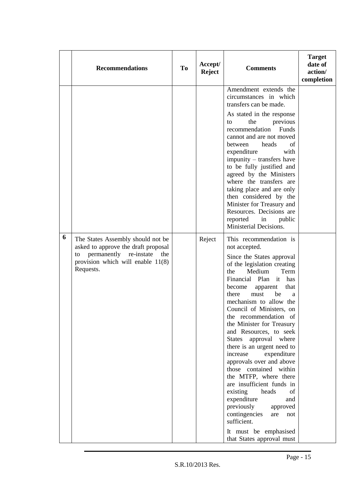|   | <b>Recommendations</b>                                                                                                                                                 | To | Accept/<br><b>Reject</b> | <b>Comments</b>                                                                                                                                                                                                                                                                                                                                                                                                                                                                                                                                                                                                                                                                                                                                    | <b>Target</b><br>date of<br>action/<br>completion |
|---|------------------------------------------------------------------------------------------------------------------------------------------------------------------------|----|--------------------------|----------------------------------------------------------------------------------------------------------------------------------------------------------------------------------------------------------------------------------------------------------------------------------------------------------------------------------------------------------------------------------------------------------------------------------------------------------------------------------------------------------------------------------------------------------------------------------------------------------------------------------------------------------------------------------------------------------------------------------------------------|---------------------------------------------------|
|   |                                                                                                                                                                        |    |                          | Amendment extends the<br>circumstances in which<br>transfers can be made.<br>As stated in the response<br>the<br>previous<br>to<br>Funds<br>recommendation<br>cannot and are not moved<br>heads<br>between<br>of<br>expenditure<br>with<br>impunity – transfers have<br>to be fully justified and<br>agreed by the Ministers                                                                                                                                                                                                                                                                                                                                                                                                                       |                                                   |
|   |                                                                                                                                                                        |    |                          | where the transfers are<br>taking place and are only<br>then considered by the<br>Minister for Treasury and<br>Resources. Decisions are<br>reported<br>in<br>public<br>Ministerial Decisions.                                                                                                                                                                                                                                                                                                                                                                                                                                                                                                                                                      |                                                   |
| 6 | The States Assembly should not be<br>asked to approve the draft proposal<br>permanently<br>re-instate<br>the<br>to<br>provision which will enable $11(8)$<br>Requests. |    | Reject                   | This recommendation is<br>not accepted.<br>Since the States approval<br>of the legislation creating<br>Medium<br>the<br>Term<br>Financial Plan<br>it<br>has<br>become<br>that<br>apparent<br>must<br>be<br>there<br>a<br>mechanism to allow the<br>Council of Ministers, on<br>the recommendation of<br>the Minister for Treasury<br>and Resources, to seek<br><b>States</b><br>approval where<br>there is an urgent need to<br>increase<br>expenditure<br>approvals over and above<br>those contained within<br>the MTFP, where there<br>are insufficient funds in<br>heads<br>existing<br>of<br>expenditure<br>and<br>previously<br>approved<br>contingencies<br>are<br>not<br>sufficient.<br>It must be emphasised<br>that States approval must |                                                   |